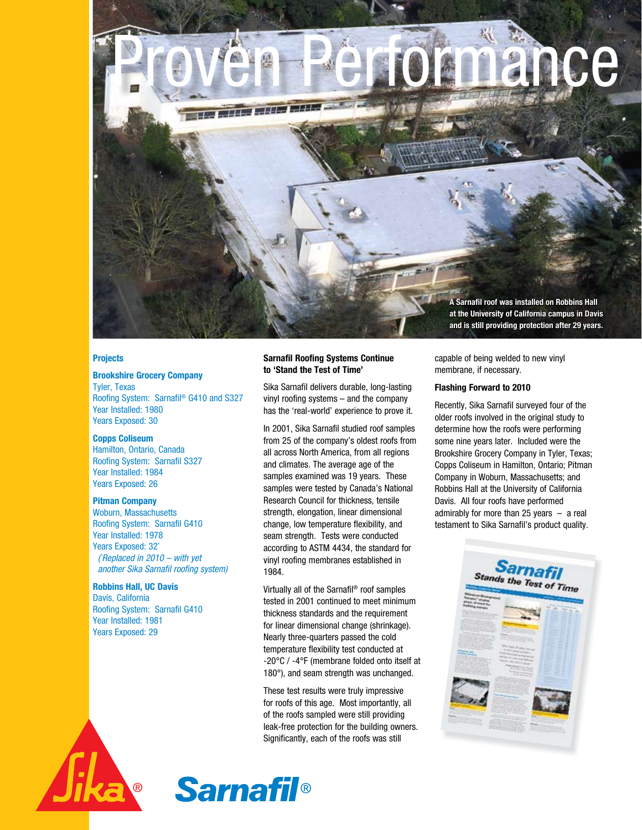

### **Projects**

### **Brookshire Grocery Company**

Tyler, Texas Roofing System: Sarnafil® G410 and S327 Year Installed: 1980 Years Exposed: 30

### **Copps Coliseum**

Hamilton, Ontario, Canada Roofing System: Sarnafil S327 Year Installed: 1984 Years Exposed: 26

### **Pitman Company**

Woburn, Massachusetts Roofing System: Sarnafil G410 Year Installed: 1978 Years Exposed: 32\* ( \* Replaced in 2010 – with yet another Sika Sarnafil roofing system)

# **Robbins Hall, UC Davis**

Davis, California Roofing System: Sarnafil G410 Year Installed: 1981 Years Exposed: 29

### **Sarnafil Roofing Systems Continue to 'Stand the Test of Time'**

Sika Sarnafil delivers durable, long-lasting vinyl roofing systems – and the company has the 'real-world' experience to prove it.

In 2001, Sika Sarnafil studied roof samples from 25 of the company's oldest roofs from all across North America, from all regions and climates. The average age of the samples examined was 19 years. These samples were tested by Canada's National Research Council for thickness, tensile strength, elongation, linear dimensional change, low temperature flexibility, and seam strength. Tests were conducted according to ASTM 4434, the standard for vinyl roofing membranes established in 1984.

Virtually all of the Sarnafil® roof samples tested in 2001 continued to meet minimum thickness standards and the requirement for linear dimensional change (shrinkage). Nearly three-quarters passed the cold temperature flexibility test conducted at -20°C / -4°F (membrane folded onto itself at 180°), and seam strength was unchanged.

These test results were truly impressive for roofs of this age. Most importantly, all of the roofs sampled were still providing leak-free protection for the building owners. Significantly, each of the roofs was still

capable of being welded to new vinyl membrane, if necessary.

### **Flashing Forward to 2010**

Recently, Sika Sarnafil surveyed four of the older roofs involved in the original study to determine how the roofs were performing some nine years later. Included were the Brookshire Grocery Company in Tyler, Texas; Copps Coliseum in Hamilton, Ontario; Pitman Company in Woburn, Massachusetts; and Robbins Hall at the University of California Davis. All four roofs have performed admirably for more than 25 years – a real testament to Sika Sarnafil's product quality.





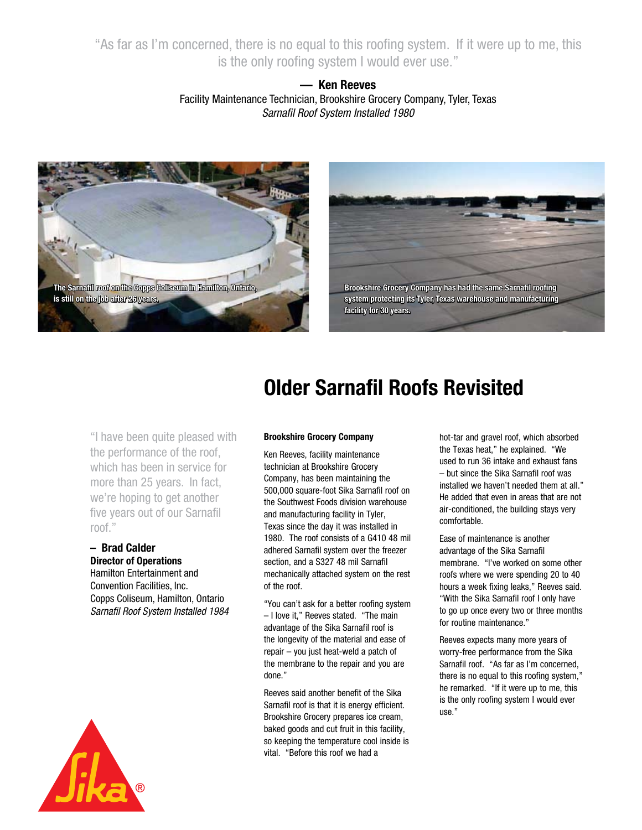"As far as I'm concerned, there is no equal to this roofing system. If it were up to me, this is the only roofing system I would ever use."

# **— Ken Reeves** Facility Maintenance Technician, Brookshire Grocery Company, Tyler, Texas Sarnafil Roof System Installed 1980



**Brookshire Grocery Company has had the same Sarnafil roofing system protecting its Tyler, Texas warehouse and manufacturing facility for 30 years.** 

# "I have been quite pleased with the performance of the roof, which has been in service for more than 25 years. In fact, we're hoping to get another five years out of our Sarnafil roof."

**– Brad Calder Director of Operations** Hamilton Entertainment and Convention Facilities, Inc. Copps Coliseum, Hamilton, Ontario Sarnafil Roof System Installed 1984



# **Older Sarnafil Roofs Revisited**

# **Brookshire Grocery Company**

Ken Reeves, facility maintenance technician at Brookshire Grocery Company, has been maintaining the 500,000 square-foot Sika Sarnafil roof on the Southwest Foods division warehouse and manufacturing facility in Tyler, Texas since the day it was installed in 1980. The roof consists of a G410 48 mil adhered Sarnafil system over the freezer section, and a S327 48 mil Sarnafil mechanically attached system on the rest of the roof.

"You can't ask for a better roofing system – I love it," Reeves stated. "The main advantage of the Sika Sarnafil roof is the longevity of the material and ease of repair – you just heat-weld a patch of the membrane to the repair and you are done."

Reeves said another benefit of the Sika Sarnafil roof is that it is energy efficient. Brookshire Grocery prepares ice cream, baked goods and cut fruit in this facility, so keeping the temperature cool inside is vital. "Before this roof we had a

hot-tar and gravel roof, which absorbed the Texas heat," he explained. "We used to run 36 intake and exhaust fans – but since the Sika Sarnafil roof was installed we haven't needed them at all." He added that even in areas that are not air-conditioned, the building stays very comfortable.

Ease of maintenance is another advantage of the Sika Sarnafil membrane. "I've worked on some other roofs where we were spending 20 to 40 hours a week fixing leaks," Reeves said. "With the Sika Sarnafil roof I only have to go up once every two or three months for routine maintenance."

Reeves expects many more years of worry-free performance from the Sika Sarnafil roof. "As far as I'm concerned, there is no equal to this roofing system," he remarked. "If it were up to me, this is the only roofing system I would ever use."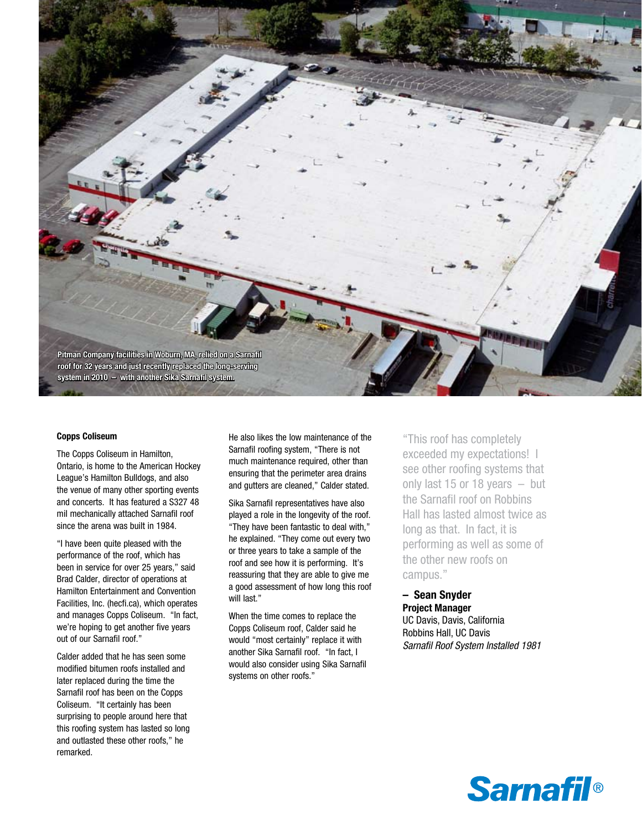

#### **Copps Coliseum**

The Copps Coliseum in Hamilton, Ontario, is home to the American Hockey League's Hamilton Bulldogs, and also the venue of many other sporting events and concerts. It has featured a S327 48 mil mechanically attached Sarnafil roof since the arena was built in 1984.

"I have been quite pleased with the performance of the roof, which has been in service for over 25 years," said Brad Calder, director of operations at Hamilton Entertainment and Convention Facilities, Inc. (hecfi.ca), which operates and manages Copps Coliseum. "In fact, we're hoping to get another five years out of our Sarnafil roof."

Calder added that he has seen some modified bitumen roofs installed and later replaced during the time the Sarnafil roof has been on the Copps Coliseum. "It certainly has been surprising to people around here that this roofing system has lasted so long and outlasted these other roofs," he remarked.

He also likes the low maintenance of the Sarnafil roofing system, "There is not much maintenance required, other than ensuring that the perimeter area drains and gutters are cleaned," Calder stated.

Sika Sarnafil representatives have also played a role in the longevity of the roof. "They have been fantastic to deal with," he explained. "They come out every two or three years to take a sample of the roof and see how it is performing. It's reassuring that they are able to give me a good assessment of how long this roof will last."

When the time comes to replace the Copps Coliseum roof, Calder said he would "most certainly" replace it with another Sika Sarnafil roof. "In fact, I would also consider using Sika Sarnafil systems on other roofs."

"This roof has completely exceeded my expectations! I see other roofing systems that only last 15 or 18 years – but the Sarnafil roof on Robbins Hall has lasted almost twice as long as that. In fact, it is performing as well as some of the other new roofs on campus."

**– Sean Snyder Project Manager** UC Davis, Davis, California Robbins Hall, UC Davis Sarnafil Roof System Installed 1981